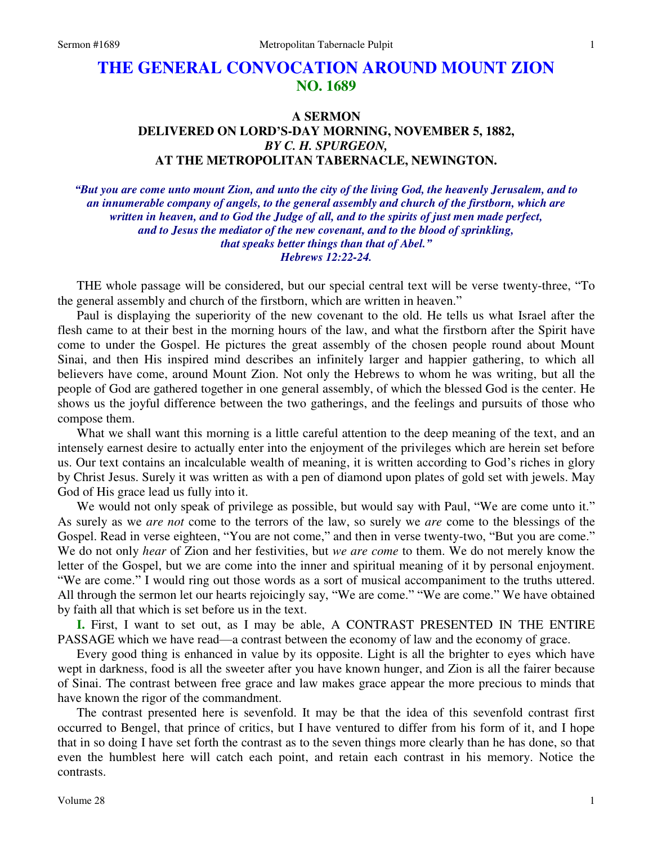# **THE GENERAL CONVOCATION AROUND MOUNT ZION NO. 1689**

## **A SERMON DELIVERED ON LORD'S-DAY MORNING, NOVEMBER 5, 1882,**  *BY C. H. SPURGEON,*  **AT THE METROPOLITAN TABERNACLE, NEWINGTON.**

*"But you are come unto mount Zion, and unto the city of the living God, the heavenly Jerusalem, and to an innumerable company of angels, to the general assembly and church of the firstborn, which are written in heaven, and to God the Judge of all, and to the spirits of just men made perfect, and to Jesus the mediator of the new covenant, and to the blood of sprinkling, that speaks better things than that of Abel." Hebrews 12:22-24.* 

THE whole passage will be considered, but our special central text will be verse twenty-three, "To the general assembly and church of the firstborn, which are written in heaven."

 Paul is displaying the superiority of the new covenant to the old. He tells us what Israel after the flesh came to at their best in the morning hours of the law, and what the firstborn after the Spirit have come to under the Gospel. He pictures the great assembly of the chosen people round about Mount Sinai, and then His inspired mind describes an infinitely larger and happier gathering, to which all believers have come, around Mount Zion. Not only the Hebrews to whom he was writing, but all the people of God are gathered together in one general assembly, of which the blessed God is the center. He shows us the joyful difference between the two gatherings, and the feelings and pursuits of those who compose them.

What we shall want this morning is a little careful attention to the deep meaning of the text, and an intensely earnest desire to actually enter into the enjoyment of the privileges which are herein set before us. Our text contains an incalculable wealth of meaning, it is written according to God's riches in glory by Christ Jesus. Surely it was written as with a pen of diamond upon plates of gold set with jewels. May God of His grace lead us fully into it.

We would not only speak of privilege as possible, but would say with Paul, "We are come unto it." As surely as we *are not* come to the terrors of the law, so surely we *are* come to the blessings of the Gospel. Read in verse eighteen, "You are not come," and then in verse twenty-two, "But you are come." We do not only *hear* of Zion and her festivities, but *we are come* to them. We do not merely know the letter of the Gospel, but we are come into the inner and spiritual meaning of it by personal enjoyment. "We are come." I would ring out those words as a sort of musical accompaniment to the truths uttered. All through the sermon let our hearts rejoicingly say, "We are come." "We are come." We have obtained by faith all that which is set before us in the text.

**I.** First, I want to set out, as I may be able, A CONTRAST PRESENTED IN THE ENTIRE PASSAGE which we have read—a contrast between the economy of law and the economy of grace.

 Every good thing is enhanced in value by its opposite. Light is all the brighter to eyes which have wept in darkness, food is all the sweeter after you have known hunger, and Zion is all the fairer because of Sinai. The contrast between free grace and law makes grace appear the more precious to minds that have known the rigor of the commandment.

 The contrast presented here is sevenfold. It may be that the idea of this sevenfold contrast first occurred to Bengel, that prince of critics, but I have ventured to differ from his form of it, and I hope that in so doing I have set forth the contrast as to the seven things more clearly than he has done, so that even the humblest here will catch each point, and retain each contrast in his memory. Notice the contrasts.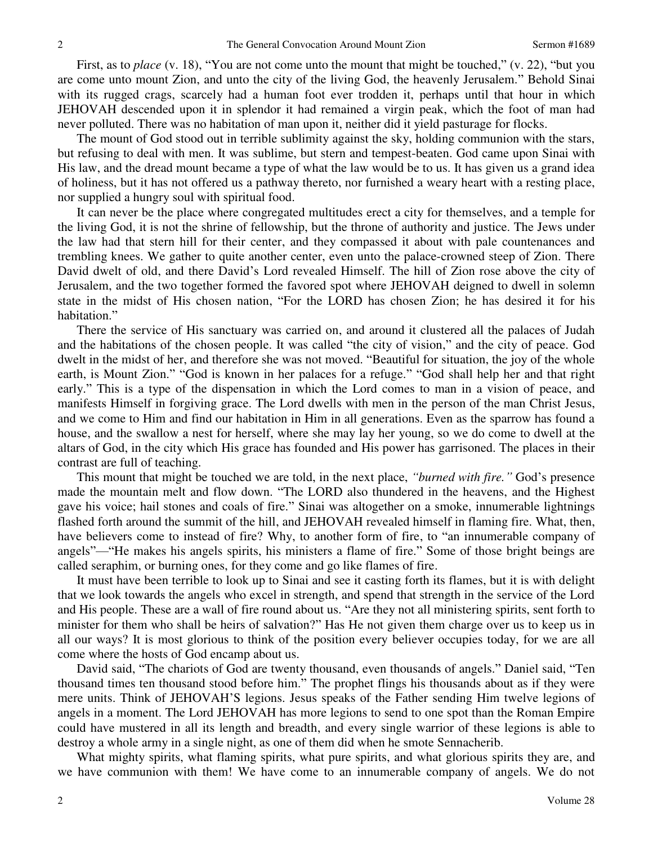First, as to *place* (v. 18), "You are not come unto the mount that might be touched," (v. 22), "but you are come unto mount Zion, and unto the city of the living God, the heavenly Jerusalem." Behold Sinai with its rugged crags, scarcely had a human foot ever trodden it, perhaps until that hour in which JEHOVAH descended upon it in splendor it had remained a virgin peak, which the foot of man had never polluted. There was no habitation of man upon it, neither did it yield pasturage for flocks.

 The mount of God stood out in terrible sublimity against the sky, holding communion with the stars, but refusing to deal with men. It was sublime, but stern and tempest-beaten. God came upon Sinai with His law, and the dread mount became a type of what the law would be to us. It has given us a grand idea of holiness, but it has not offered us a pathway thereto, nor furnished a weary heart with a resting place, nor supplied a hungry soul with spiritual food.

 It can never be the place where congregated multitudes erect a city for themselves, and a temple for the living God, it is not the shrine of fellowship, but the throne of authority and justice. The Jews under the law had that stern hill for their center, and they compassed it about with pale countenances and trembling knees. We gather to quite another center, even unto the palace-crowned steep of Zion. There David dwelt of old, and there David's Lord revealed Himself. The hill of Zion rose above the city of Jerusalem, and the two together formed the favored spot where JEHOVAH deigned to dwell in solemn state in the midst of His chosen nation, "For the LORD has chosen Zion; he has desired it for his habitation."

 There the service of His sanctuary was carried on, and around it clustered all the palaces of Judah and the habitations of the chosen people. It was called "the city of vision," and the city of peace. God dwelt in the midst of her, and therefore she was not moved. "Beautiful for situation, the joy of the whole earth, is Mount Zion." "God is known in her palaces for a refuge." "God shall help her and that right early." This is a type of the dispensation in which the Lord comes to man in a vision of peace, and manifests Himself in forgiving grace. The Lord dwells with men in the person of the man Christ Jesus, and we come to Him and find our habitation in Him in all generations. Even as the sparrow has found a house, and the swallow a nest for herself, where she may lay her young, so we do come to dwell at the altars of God, in the city which His grace has founded and His power has garrisoned. The places in their contrast are full of teaching.

 This mount that might be touched we are told, in the next place, *"burned with fire."* God's presence made the mountain melt and flow down. "The LORD also thundered in the heavens, and the Highest gave his voice; hail stones and coals of fire." Sinai was altogether on a smoke, innumerable lightnings flashed forth around the summit of the hill, and JEHOVAH revealed himself in flaming fire. What, then, have believers come to instead of fire? Why, to another form of fire, to "an innumerable company of angels"—"He makes his angels spirits, his ministers a flame of fire." Some of those bright beings are called seraphim, or burning ones, for they come and go like flames of fire.

 It must have been terrible to look up to Sinai and see it casting forth its flames, but it is with delight that we look towards the angels who excel in strength, and spend that strength in the service of the Lord and His people. These are a wall of fire round about us. "Are they not all ministering spirits, sent forth to minister for them who shall be heirs of salvation?" Has He not given them charge over us to keep us in all our ways? It is most glorious to think of the position every believer occupies today, for we are all come where the hosts of God encamp about us.

 David said, "The chariots of God are twenty thousand, even thousands of angels." Daniel said, "Ten thousand times ten thousand stood before him." The prophet flings his thousands about as if they were mere units. Think of JEHOVAH'S legions. Jesus speaks of the Father sending Him twelve legions of angels in a moment. The Lord JEHOVAH has more legions to send to one spot than the Roman Empire could have mustered in all its length and breadth, and every single warrior of these legions is able to destroy a whole army in a single night, as one of them did when he smote Sennacherib.

What mighty spirits, what flaming spirits, what pure spirits, and what glorious spirits they are, and we have communion with them! We have come to an innumerable company of angels. We do not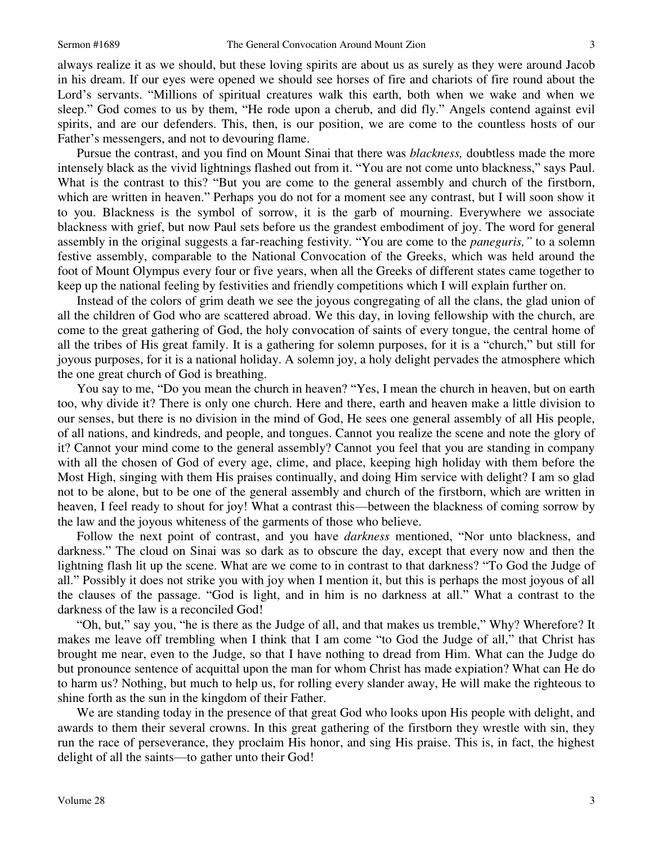always realize it as we should, but these loving spirits are about us as surely as they were around Jacob in his dream. If our eyes were opened we should see horses of fire and chariots of fire round about the Lord's servants. "Millions of spiritual creatures walk this earth, both when we wake and when we sleep." God comes to us by them, "He rode upon a cherub, and did fly." Angels contend against evil spirits, and are our defenders. This, then, is our position, we are come to the countless hosts of our Father's messengers, and not to devouring flame.

 Pursue the contrast, and you find on Mount Sinai that there was *blackness,* doubtless made the more intensely black as the vivid lightnings flashed out from it. "You are not come unto blackness," says Paul. What is the contrast to this? "But you are come to the general assembly and church of the firstborn, which are written in heaven." Perhaps you do not for a moment see any contrast, but I will soon show it to you. Blackness is the symbol of sorrow, it is the garb of mourning. Everywhere we associate blackness with grief, but now Paul sets before us the grandest embodiment of joy. The word for general assembly in the original suggests a far-reaching festivity. "You are come to the *paneguris,"* to a solemn festive assembly, comparable to the National Convocation of the Greeks, which was held around the foot of Mount Olympus every four or five years, when all the Greeks of different states came together to keep up the national feeling by festivities and friendly competitions which I will explain further on.

 Instead of the colors of grim death we see the joyous congregating of all the clans, the glad union of all the children of God who are scattered abroad. We this day, in loving fellowship with the church, are come to the great gathering of God, the holy convocation of saints of every tongue, the central home of all the tribes of His great family. It is a gathering for solemn purposes, for it is a "church," but still for joyous purposes, for it is a national holiday. A solemn joy, a holy delight pervades the atmosphere which the one great church of God is breathing.

 You say to me, "Do you mean the church in heaven? "Yes, I mean the church in heaven, but on earth too, why divide it? There is only one church. Here and there, earth and heaven make a little division to our senses, but there is no division in the mind of God, He sees one general assembly of all His people, of all nations, and kindreds, and people, and tongues. Cannot you realize the scene and note the glory of it? Cannot your mind come to the general assembly? Cannot you feel that you are standing in company with all the chosen of God of every age, clime, and place, keeping high holiday with them before the Most High, singing with them His praises continually, and doing Him service with delight? I am so glad not to be alone, but to be one of the general assembly and church of the firstborn, which are written in heaven, I feel ready to shout for joy! What a contrast this—between the blackness of coming sorrow by the law and the joyous whiteness of the garments of those who believe.

 Follow the next point of contrast, and you have *darkness* mentioned, "Nor unto blackness, and darkness." The cloud on Sinai was so dark as to obscure the day, except that every now and then the lightning flash lit up the scene. What are we come to in contrast to that darkness? "To God the Judge of all." Possibly it does not strike you with joy when I mention it, but this is perhaps the most joyous of all the clauses of the passage. "God is light, and in him is no darkness at all." What a contrast to the darkness of the law is a reconciled God!

"Oh, but," say you, "he is there as the Judge of all, and that makes us tremble," Why? Wherefore? It makes me leave off trembling when I think that I am come "to God the Judge of all," that Christ has brought me near, even to the Judge, so that I have nothing to dread from Him. What can the Judge do but pronounce sentence of acquittal upon the man for whom Christ has made expiation? What can He do to harm us? Nothing, but much to help us, for rolling every slander away, He will make the righteous to shine forth as the sun in the kingdom of their Father.

 We are standing today in the presence of that great God who looks upon His people with delight, and awards to them their several crowns. In this great gathering of the firstborn they wrestle with sin, they run the race of perseverance, they proclaim His honor, and sing His praise. This is, in fact, the highest delight of all the saints—to gather unto their God!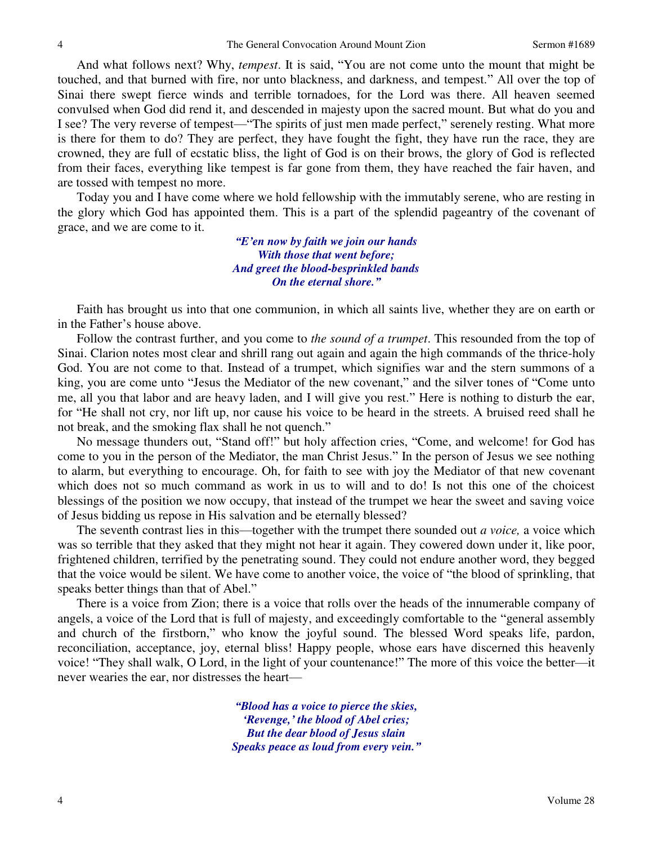And what follows next? Why, *tempest*. It is said, "You are not come unto the mount that might be touched, and that burned with fire, nor unto blackness, and darkness, and tempest." All over the top of Sinai there swept fierce winds and terrible tornadoes, for the Lord was there. All heaven seemed convulsed when God did rend it, and descended in majesty upon the sacred mount. But what do you and I see? The very reverse of tempest—"The spirits of just men made perfect," serenely resting. What more is there for them to do? They are perfect, they have fought the fight, they have run the race, they are crowned, they are full of ecstatic bliss, the light of God is on their brows, the glory of God is reflected from their faces, everything like tempest is far gone from them, they have reached the fair haven, and are tossed with tempest no more.

 Today you and I have come where we hold fellowship with the immutably serene, who are resting in the glory which God has appointed them. This is a part of the splendid pageantry of the covenant of grace, and we are come to it.

> *"E'en now by faith we join our hands With those that went before; And greet the blood-besprinkled bands On the eternal shore."*

 Faith has brought us into that one communion, in which all saints live, whether they are on earth or in the Father's house above.

 Follow the contrast further, and you come to *the sound of a trumpet*. This resounded from the top of Sinai. Clarion notes most clear and shrill rang out again and again the high commands of the thrice-holy God. You are not come to that. Instead of a trumpet, which signifies war and the stern summons of a king, you are come unto "Jesus the Mediator of the new covenant," and the silver tones of "Come unto me, all you that labor and are heavy laden, and I will give you rest." Here is nothing to disturb the ear, for "He shall not cry, nor lift up, nor cause his voice to be heard in the streets. A bruised reed shall he not break, and the smoking flax shall he not quench."

 No message thunders out, "Stand off!" but holy affection cries, "Come, and welcome! for God has come to you in the person of the Mediator, the man Christ Jesus." In the person of Jesus we see nothing to alarm, but everything to encourage. Oh, for faith to see with joy the Mediator of that new covenant which does not so much command as work in us to will and to do! Is not this one of the choicest blessings of the position we now occupy, that instead of the trumpet we hear the sweet and saving voice of Jesus bidding us repose in His salvation and be eternally blessed?

 The seventh contrast lies in this—together with the trumpet there sounded out *a voice,* a voice which was so terrible that they asked that they might not hear it again. They cowered down under it, like poor, frightened children, terrified by the penetrating sound. They could not endure another word, they begged that the voice would be silent. We have come to another voice, the voice of "the blood of sprinkling, that speaks better things than that of Abel."

 There is a voice from Zion; there is a voice that rolls over the heads of the innumerable company of angels, a voice of the Lord that is full of majesty, and exceedingly comfortable to the "general assembly and church of the firstborn," who know the joyful sound. The blessed Word speaks life, pardon, reconciliation, acceptance, joy, eternal bliss! Happy people, whose ears have discerned this heavenly voice! "They shall walk, O Lord, in the light of your countenance!" The more of this voice the better—it never wearies the ear, nor distresses the heart—

> *"Blood has a voice to pierce the skies, 'Revenge,' the blood of Abel cries; But the dear blood of Jesus slain Speaks peace as loud from every vein."*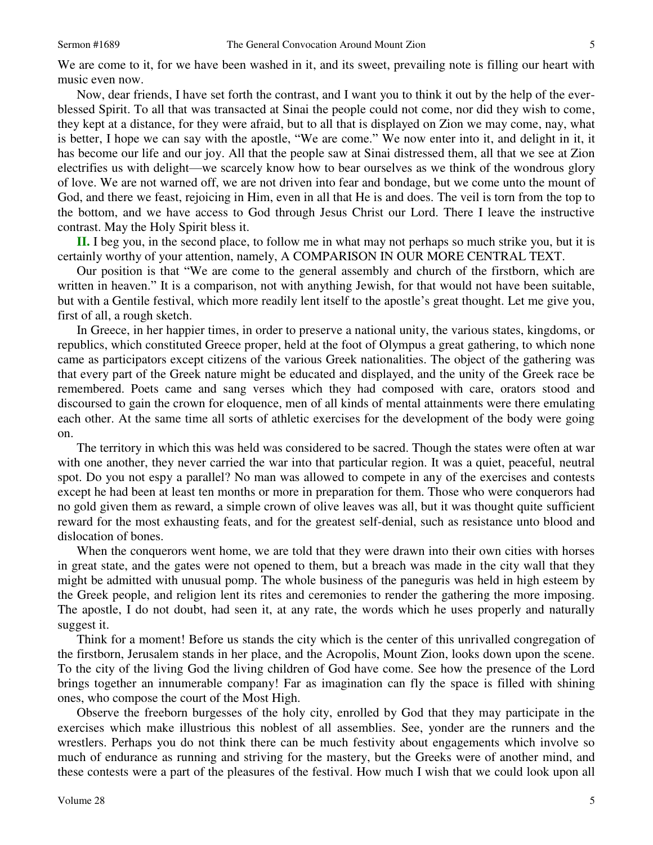We are come to it, for we have been washed in it, and its sweet, prevailing note is filling our heart with music even now.

 Now, dear friends, I have set forth the contrast, and I want you to think it out by the help of the everblessed Spirit. To all that was transacted at Sinai the people could not come, nor did they wish to come, they kept at a distance, for they were afraid, but to all that is displayed on Zion we may come, nay, what is better, I hope we can say with the apostle, "We are come." We now enter into it, and delight in it, it has become our life and our joy. All that the people saw at Sinai distressed them, all that we see at Zion electrifies us with delight—we scarcely know how to bear ourselves as we think of the wondrous glory of love. We are not warned off, we are not driven into fear and bondage, but we come unto the mount of God, and there we feast, rejoicing in Him, even in all that He is and does. The veil is torn from the top to the bottom, and we have access to God through Jesus Christ our Lord. There I leave the instructive contrast. May the Holy Spirit bless it.

**II.** I beg you, in the second place, to follow me in what may not perhaps so much strike you, but it is certainly worthy of your attention, namely, A COMPARISON IN OUR MORE CENTRAL TEXT.

 Our position is that "We are come to the general assembly and church of the firstborn, which are written in heaven." It is a comparison, not with anything Jewish, for that would not have been suitable, but with a Gentile festival, which more readily lent itself to the apostle's great thought. Let me give you, first of all, a rough sketch.

 In Greece, in her happier times, in order to preserve a national unity, the various states, kingdoms, or republics, which constituted Greece proper, held at the foot of Olympus a great gathering, to which none came as participators except citizens of the various Greek nationalities. The object of the gathering was that every part of the Greek nature might be educated and displayed, and the unity of the Greek race be remembered. Poets came and sang verses which they had composed with care, orators stood and discoursed to gain the crown for eloquence, men of all kinds of mental attainments were there emulating each other. At the same time all sorts of athletic exercises for the development of the body were going on.

 The territory in which this was held was considered to be sacred. Though the states were often at war with one another, they never carried the war into that particular region. It was a quiet, peaceful, neutral spot. Do you not espy a parallel? No man was allowed to compete in any of the exercises and contests except he had been at least ten months or more in preparation for them. Those who were conquerors had no gold given them as reward, a simple crown of olive leaves was all, but it was thought quite sufficient reward for the most exhausting feats, and for the greatest self-denial, such as resistance unto blood and dislocation of bones.

 When the conquerors went home, we are told that they were drawn into their own cities with horses in great state, and the gates were not opened to them, but a breach was made in the city wall that they might be admitted with unusual pomp. The whole business of the paneguris was held in high esteem by the Greek people, and religion lent its rites and ceremonies to render the gathering the more imposing. The apostle, I do not doubt, had seen it, at any rate, the words which he uses properly and naturally suggest it.

 Think for a moment! Before us stands the city which is the center of this unrivalled congregation of the firstborn, Jerusalem stands in her place, and the Acropolis, Mount Zion, looks down upon the scene. To the city of the living God the living children of God have come. See how the presence of the Lord brings together an innumerable company! Far as imagination can fly the space is filled with shining ones, who compose the court of the Most High.

 Observe the freeborn burgesses of the holy city, enrolled by God that they may participate in the exercises which make illustrious this noblest of all assemblies. See, yonder are the runners and the wrestlers. Perhaps you do not think there can be much festivity about engagements which involve so much of endurance as running and striving for the mastery, but the Greeks were of another mind, and these contests were a part of the pleasures of the festival. How much I wish that we could look upon all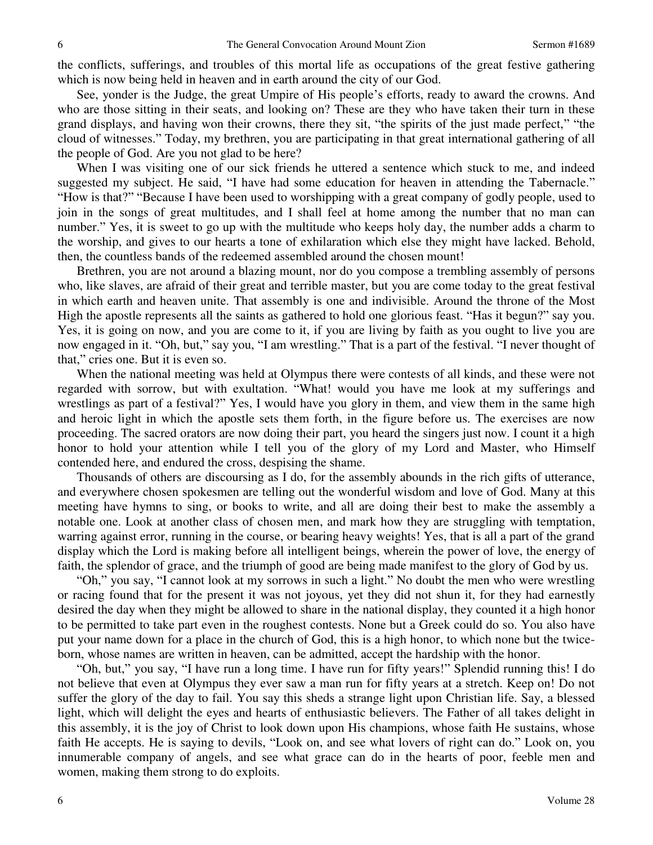the conflicts, sufferings, and troubles of this mortal life as occupations of the great festive gathering which is now being held in heaven and in earth around the city of our God.

 See, yonder is the Judge, the great Umpire of His people's efforts, ready to award the crowns. And who are those sitting in their seats, and looking on? These are they who have taken their turn in these grand displays, and having won their crowns, there they sit, "the spirits of the just made perfect," "the cloud of witnesses." Today, my brethren, you are participating in that great international gathering of all the people of God. Are you not glad to be here?

 When I was visiting one of our sick friends he uttered a sentence which stuck to me, and indeed suggested my subject. He said, "I have had some education for heaven in attending the Tabernacle." "How is that?" "Because I have been used to worshipping with a great company of godly people, used to join in the songs of great multitudes, and I shall feel at home among the number that no man can number." Yes, it is sweet to go up with the multitude who keeps holy day, the number adds a charm to the worship, and gives to our hearts a tone of exhilaration which else they might have lacked. Behold, then, the countless bands of the redeemed assembled around the chosen mount!

 Brethren, you are not around a blazing mount, nor do you compose a trembling assembly of persons who, like slaves, are afraid of their great and terrible master, but you are come today to the great festival in which earth and heaven unite. That assembly is one and indivisible. Around the throne of the Most High the apostle represents all the saints as gathered to hold one glorious feast. "Has it begun?" say you. Yes, it is going on now, and you are come to it, if you are living by faith as you ought to live you are now engaged in it. "Oh, but," say you, "I am wrestling." That is a part of the festival. "I never thought of that," cries one. But it is even so.

 When the national meeting was held at Olympus there were contests of all kinds, and these were not regarded with sorrow, but with exultation. "What! would you have me look at my sufferings and wrestlings as part of a festival?" Yes, I would have you glory in them, and view them in the same high and heroic light in which the apostle sets them forth, in the figure before us. The exercises are now proceeding. The sacred orators are now doing their part, you heard the singers just now. I count it a high honor to hold your attention while I tell you of the glory of my Lord and Master, who Himself contended here, and endured the cross, despising the shame.

 Thousands of others are discoursing as I do, for the assembly abounds in the rich gifts of utterance, and everywhere chosen spokesmen are telling out the wonderful wisdom and love of God. Many at this meeting have hymns to sing, or books to write, and all are doing their best to make the assembly a notable one. Look at another class of chosen men, and mark how they are struggling with temptation, warring against error, running in the course, or bearing heavy weights! Yes, that is all a part of the grand display which the Lord is making before all intelligent beings, wherein the power of love, the energy of faith, the splendor of grace, and the triumph of good are being made manifest to the glory of God by us.

"Oh," you say, "I cannot look at my sorrows in such a light." No doubt the men who were wrestling or racing found that for the present it was not joyous, yet they did not shun it, for they had earnestly desired the day when they might be allowed to share in the national display, they counted it a high honor to be permitted to take part even in the roughest contests. None but a Greek could do so. You also have put your name down for a place in the church of God, this is a high honor, to which none but the twiceborn, whose names are written in heaven, can be admitted, accept the hardship with the honor.

"Oh, but," you say, "I have run a long time. I have run for fifty years!" Splendid running this! I do not believe that even at Olympus they ever saw a man run for fifty years at a stretch. Keep on! Do not suffer the glory of the day to fail. You say this sheds a strange light upon Christian life. Say, a blessed light, which will delight the eyes and hearts of enthusiastic believers. The Father of all takes delight in this assembly, it is the joy of Christ to look down upon His champions, whose faith He sustains, whose faith He accepts. He is saying to devils, "Look on, and see what lovers of right can do." Look on, you innumerable company of angels, and see what grace can do in the hearts of poor, feeble men and women, making them strong to do exploits.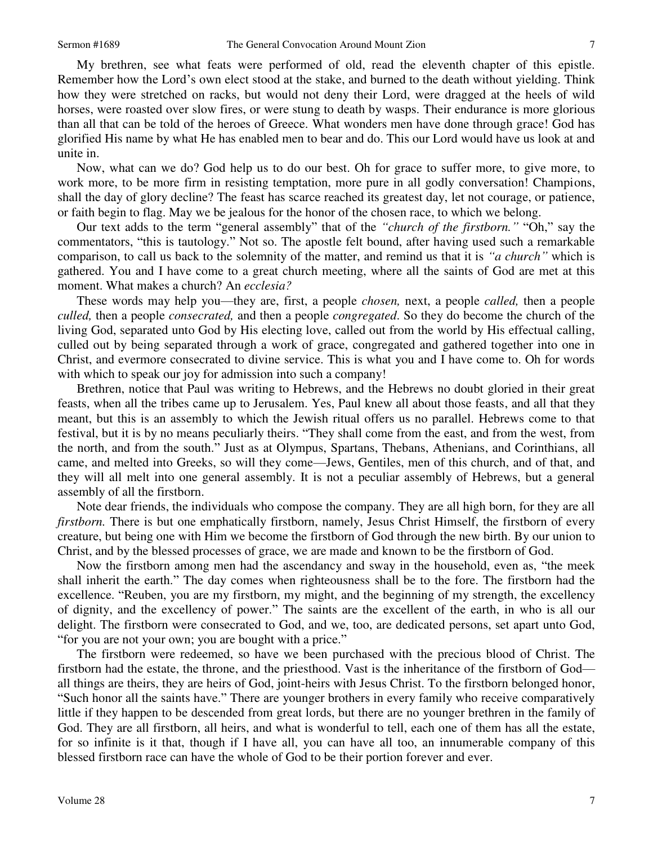My brethren, see what feats were performed of old, read the eleventh chapter of this epistle. Remember how the Lord's own elect stood at the stake, and burned to the death without yielding. Think how they were stretched on racks, but would not deny their Lord, were dragged at the heels of wild horses, were roasted over slow fires, or were stung to death by wasps. Their endurance is more glorious than all that can be told of the heroes of Greece. What wonders men have done through grace! God has glorified His name by what He has enabled men to bear and do. This our Lord would have us look at and unite in.

 Now, what can we do? God help us to do our best. Oh for grace to suffer more, to give more, to work more, to be more firm in resisting temptation, more pure in all godly conversation! Champions, shall the day of glory decline? The feast has scarce reached its greatest day, let not courage, or patience, or faith begin to flag. May we be jealous for the honor of the chosen race, to which we belong.

 Our text adds to the term "general assembly" that of the *"church of the firstborn."* "Oh," say the commentators, "this is tautology." Not so. The apostle felt bound, after having used such a remarkable comparison, to call us back to the solemnity of the matter, and remind us that it is *"a church"* which is gathered. You and I have come to a great church meeting, where all the saints of God are met at this moment. What makes a church? An *ecclesia?*

 These words may help you—they are, first, a people *chosen,* next, a people *called,* then a people *culled,* then a people *consecrated,* and then a people *congregated*. So they do become the church of the living God, separated unto God by His electing love, called out from the world by His effectual calling, culled out by being separated through a work of grace, congregated and gathered together into one in Christ, and evermore consecrated to divine service. This is what you and I have come to. Oh for words with which to speak our joy for admission into such a company!

 Brethren, notice that Paul was writing to Hebrews, and the Hebrews no doubt gloried in their great feasts, when all the tribes came up to Jerusalem. Yes, Paul knew all about those feasts, and all that they meant, but this is an assembly to which the Jewish ritual offers us no parallel. Hebrews come to that festival, but it is by no means peculiarly theirs. "They shall come from the east, and from the west, from the north, and from the south." Just as at Olympus, Spartans, Thebans, Athenians, and Corinthians, all came, and melted into Greeks, so will they come—Jews, Gentiles, men of this church, and of that, and they will all melt into one general assembly. It is not a peculiar assembly of Hebrews, but a general assembly of all the firstborn.

 Note dear friends, the individuals who compose the company. They are all high born, for they are all *firstborn.* There is but one emphatically firstborn, namely, Jesus Christ Himself, the firstborn of every creature, but being one with Him we become the firstborn of God through the new birth. By our union to Christ, and by the blessed processes of grace, we are made and known to be the firstborn of God.

 Now the firstborn among men had the ascendancy and sway in the household, even as, "the meek shall inherit the earth." The day comes when righteousness shall be to the fore. The firstborn had the excellence. "Reuben, you are my firstborn, my might, and the beginning of my strength, the excellency of dignity, and the excellency of power." The saints are the excellent of the earth, in who is all our delight. The firstborn were consecrated to God, and we, too, are dedicated persons, set apart unto God, "for you are not your own; you are bought with a price."

 The firstborn were redeemed, so have we been purchased with the precious blood of Christ. The firstborn had the estate, the throne, and the priesthood. Vast is the inheritance of the firstborn of God all things are theirs, they are heirs of God, joint-heirs with Jesus Christ. To the firstborn belonged honor, "Such honor all the saints have." There are younger brothers in every family who receive comparatively little if they happen to be descended from great lords, but there are no younger brethren in the family of God. They are all firstborn, all heirs, and what is wonderful to tell, each one of them has all the estate, for so infinite is it that, though if I have all, you can have all too, an innumerable company of this blessed firstborn race can have the whole of God to be their portion forever and ever.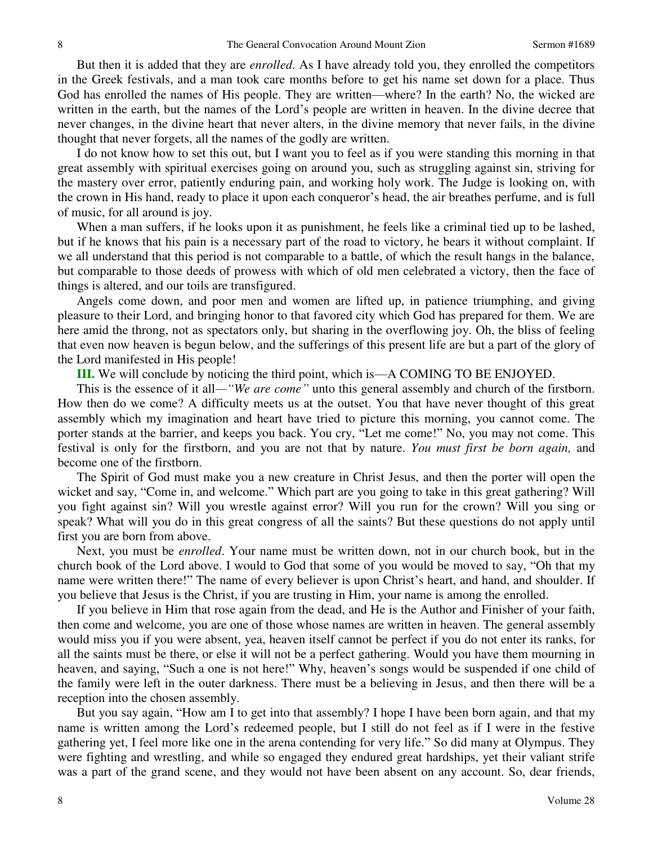But then it is added that they are *enrolled*. As I have already told you, they enrolled the competitors in the Greek festivals, and a man took care months before to get his name set down for a place. Thus God has enrolled the names of His people. They are written—where? In the earth? No, the wicked are written in the earth, but the names of the Lord's people are written in heaven. In the divine decree that never changes, in the divine heart that never alters, in the divine memory that never fails, in the divine thought that never forgets, all the names of the godly are written.

 I do not know how to set this out, but I want you to feel as if you were standing this morning in that great assembly with spiritual exercises going on around you, such as struggling against sin, striving for the mastery over error, patiently enduring pain, and working holy work. The Judge is looking on, with the crown in His hand, ready to place it upon each conqueror's head, the air breathes perfume, and is full of music, for all around is joy.

 When a man suffers, if he looks upon it as punishment, he feels like a criminal tied up to be lashed, but if he knows that his pain is a necessary part of the road to victory, he bears it without complaint. If we all understand that this period is not comparable to a battle, of which the result hangs in the balance, but comparable to those deeds of prowess with which of old men celebrated a victory, then the face of things is altered, and our toils are transfigured.

 Angels come down, and poor men and women are lifted up, in patience triumphing, and giving pleasure to their Lord, and bringing honor to that favored city which God has prepared for them. We are here amid the throng, not as spectators only, but sharing in the overflowing joy. Oh, the bliss of feeling that even now heaven is begun below, and the sufferings of this present life are but a part of the glory of the Lord manifested in His people!

**III.** We will conclude by noticing the third point, which is—A COMING TO BE ENJOYED.

 This is the essence of it all*—"We are come"* unto this general assembly and church of the firstborn. How then do we come? A difficulty meets us at the outset. You that have never thought of this great assembly which my imagination and heart have tried to picture this morning, you cannot come. The porter stands at the barrier, and keeps you back. You cry, "Let me come!" No, you may not come. This festival is only for the firstborn, and you are not that by nature. *You must first be born again,* and become one of the firstborn.

 The Spirit of God must make you a new creature in Christ Jesus, and then the porter will open the wicket and say, "Come in, and welcome." Which part are you going to take in this great gathering? Will you fight against sin? Will you wrestle against error? Will you run for the crown? Will you sing or speak? What will you do in this great congress of all the saints? But these questions do not apply until first you are born from above.

 Next, you must be *enrolled*. Your name must be written down, not in our church book, but in the church book of the Lord above. I would to God that some of you would be moved to say, "Oh that my name were written there!" The name of every believer is upon Christ's heart, and hand, and shoulder. If you believe that Jesus is the Christ, if you are trusting in Him, your name is among the enrolled.

 If you believe in Him that rose again from the dead, and He is the Author and Finisher of your faith, then come and welcome, you are one of those whose names are written in heaven. The general assembly would miss you if you were absent, yea, heaven itself cannot be perfect if you do not enter its ranks, for all the saints must be there, or else it will not be a perfect gathering. Would you have them mourning in heaven, and saying, "Such a one is not here!" Why, heaven's songs would be suspended if one child of the family were left in the outer darkness. There must be a believing in Jesus, and then there will be a reception into the chosen assembly.

 But you say again, "How am I to get into that assembly? I hope I have been born again, and that my name is written among the Lord's redeemed people, but I still do not feel as if I were in the festive gathering yet, I feel more like one in the arena contending for very life." So did many at Olympus. They were fighting and wrestling, and while so engaged they endured great hardships, yet their valiant strife was a part of the grand scene, and they would not have been absent on any account. So, dear friends,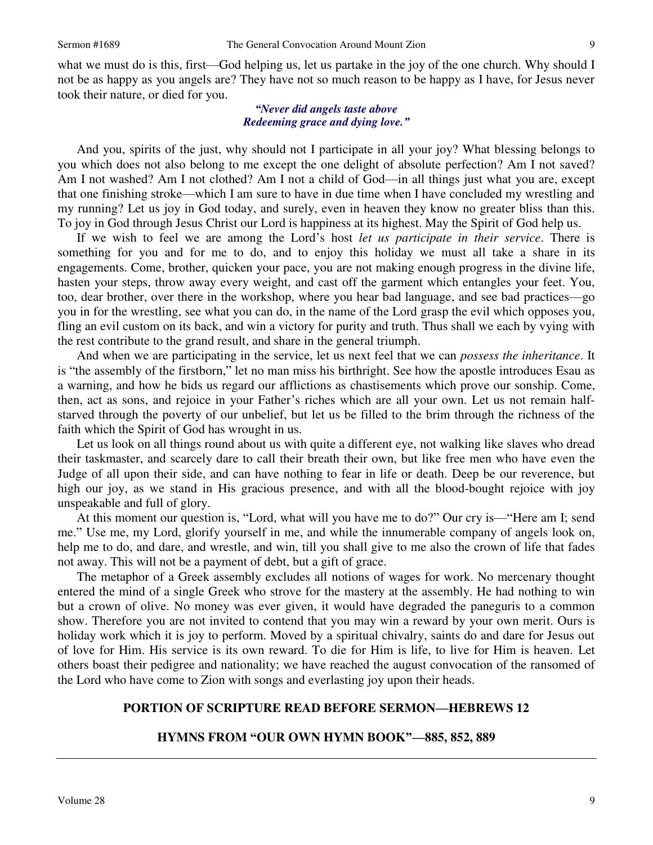what we must do is this, first—God helping us, let us partake in the joy of the one church. Why should I not be as happy as you angels are? They have not so much reason to be happy as I have, for Jesus never took their nature, or died for you.

### *"Never did angels taste above Redeeming grace and dying love."*

 And you, spirits of the just, why should not I participate in all your joy? What blessing belongs to you which does not also belong to me except the one delight of absolute perfection? Am I not saved? Am I not washed? Am I not clothed? Am I not a child of God—in all things just what you are, except that one finishing stroke—which I am sure to have in due time when I have concluded my wrestling and my running? Let us joy in God today, and surely, even in heaven they know no greater bliss than this. To joy in God through Jesus Christ our Lord is happiness at its highest. May the Spirit of God help us.

 If we wish to feel we are among the Lord's host *let us participate in their service*. There is something for you and for me to do, and to enjoy this holiday we must all take a share in its engagements. Come, brother, quicken your pace, you are not making enough progress in the divine life, hasten your steps, throw away every weight, and cast off the garment which entangles your feet. You, too, dear brother, over there in the workshop, where you hear bad language, and see bad practices—go you in for the wrestling, see what you can do, in the name of the Lord grasp the evil which opposes you, fling an evil custom on its back, and win a victory for purity and truth. Thus shall we each by vying with the rest contribute to the grand result, and share in the general triumph.

 And when we are participating in the service, let us next feel that we can *possess the inheritance*. It is "the assembly of the firstborn," let no man miss his birthright. See how the apostle introduces Esau as a warning, and how he bids us regard our afflictions as chastisements which prove our sonship. Come, then, act as sons, and rejoice in your Father's riches which are all your own. Let us not remain halfstarved through the poverty of our unbelief, but let us be filled to the brim through the richness of the faith which the Spirit of God has wrought in us.

 Let us look on all things round about us with quite a different eye, not walking like slaves who dread their taskmaster, and scarcely dare to call their breath their own, but like free men who have even the Judge of all upon their side, and can have nothing to fear in life or death. Deep be our reverence, but high our joy, as we stand in His gracious presence, and with all the blood-bought rejoice with joy unspeakable and full of glory.

 At this moment our question is, "Lord, what will you have me to do?" Our cry is—"Here am I; send me." Use me, my Lord, glorify yourself in me, and while the innumerable company of angels look on, help me to do, and dare, and wrestle, and win, till you shall give to me also the crown of life that fades not away. This will not be a payment of debt, but a gift of grace.

 The metaphor of a Greek assembly excludes all notions of wages for work. No mercenary thought entered the mind of a single Greek who strove for the mastery at the assembly. He had nothing to win but a crown of olive. No money was ever given, it would have degraded the paneguris to a common show. Therefore you are not invited to contend that you may win a reward by your own merit. Ours is holiday work which it is joy to perform. Moved by a spiritual chivalry, saints do and dare for Jesus out of love for Him. His service is its own reward. To die for Him is life, to live for Him is heaven. Let others boast their pedigree and nationality; we have reached the august convocation of the ransomed of the Lord who have come to Zion with songs and everlasting joy upon their heads.

### **PORTION OF SCRIPTURE READ BEFORE SERMON—HEBREWS 12**

### **HYMNS FROM "OUR OWN HYMN BOOK"—885, 852, 889**